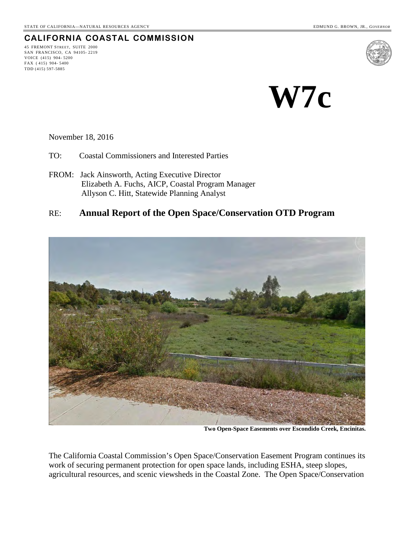45 FREMONT STREET, SUITE 2000 SAN FRANCISCO, CA 94105- 2219 VOICE (415) 904- 5200 FAX ( 415) 904- 5400 TDD (415) 597-5885

**CALIFORNIA COASTAL COMMISSION**

# **W7c**

November 18, 2016

- TO: Coastal Commissioners and Interested Parties
- FROM: Jack Ainsworth, Acting Executive Director Elizabeth A. Fuchs, AICP, Coastal Program Manager Allyson C. Hitt, Statewide Planning Analyst

# RE: **Annual Report of the Open Space/Conservation OTD Program**



**Two Open-Space Easements over Escondido Creek, Encinitas.** 

The California Coastal Commission's Open Space/Conservation Easement Program continues its work of securing permanent protection for open space lands, including ESHA, steep slopes, agricultural resources, and scenic viewsheds in the Coastal Zone. The Open Space/Conservation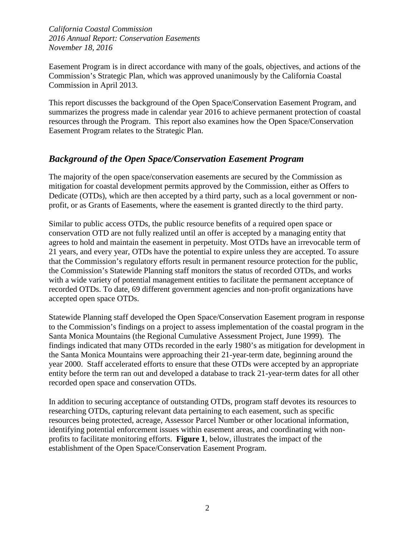Easement Program is in direct accordance with many of the goals, objectives, and actions of the Commission's Strategic Plan, which was approved unanimously by the California Coastal Commission in April 2013.

This report discusses the background of the Open Space/Conservation Easement Program, and summarizes the progress made in calendar year 2016 to achieve permanent protection of coastal resources through the Program. This report also examines how the Open Space/Conservation Easement Program relates to the Strategic Plan.

# *Background of the Open Space/Conservation Easement Program*

The majority of the open space/conservation easements are secured by the Commission as mitigation for coastal development permits approved by the Commission, either as Offers to Dedicate (OTDs), which are then accepted by a third party, such as a local government or nonprofit, or as Grants of Easements, where the easement is granted directly to the third party.

Similar to public access OTDs, the public resource benefits of a required open space or conservation OTD are not fully realized until an offer is accepted by a managing entity that agrees to hold and maintain the easement in perpetuity. Most OTDs have an irrevocable term of 21 years, and every year, OTDs have the potential to expire unless they are accepted. To assure that the Commission's regulatory efforts result in permanent resource protection for the public, the Commission's Statewide Planning staff monitors the status of recorded OTDs, and works with a wide variety of potential management entities to facilitate the permanent acceptance of recorded OTDs. To date, 69 different government agencies and non-profit organizations have accepted open space OTDs.

Statewide Planning staff developed the Open Space/Conservation Easement program in response to the Commission's findings on a project to assess implementation of the coastal program in the Santa Monica Mountains (the Regional Cumulative Assessment Project, June 1999). The findings indicated that many OTDs recorded in the early 1980's as mitigation for development in the Santa Monica Mountains were approaching their 21-year-term date, beginning around the year 2000. Staff accelerated efforts to ensure that these OTDs were accepted by an appropriate entity before the term ran out and developed a database to track 21-year-term dates for all other recorded open space and conservation OTDs.

In addition to securing acceptance of outstanding OTDs, program staff devotes its resources to researching OTDs, capturing relevant data pertaining to each easement, such as specific resources being protected, acreage, Assessor Parcel Number or other locational information, identifying potential enforcement issues within easement areas, and coordinating with nonprofits to facilitate monitoring efforts. **Figure 1**, below, illustrates the impact of the establishment of the Open Space/Conservation Easement Program.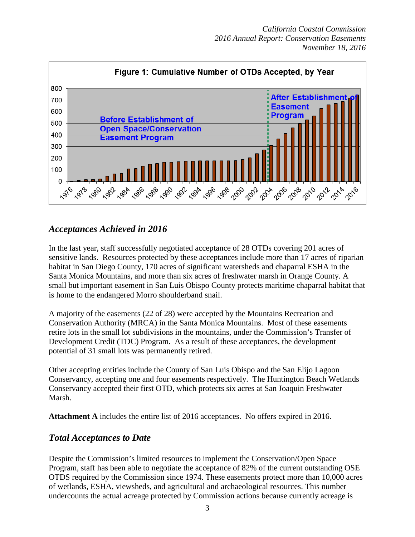

# *Acceptances Achieved in 2016*

In the last year, staff successfully negotiated acceptance of 28 OTDs covering 201 acres of sensitive lands. Resources protected by these acceptances include more than 17 acres of riparian habitat in San Diego County, 170 acres of significant watersheds and chaparral ESHA in the Santa Monica Mountains, and more than six acres of freshwater marsh in Orange County. A small but important easement in San Luis Obispo County protects maritime chaparral habitat that is home to the endangered Morro shoulderband snail.

A majority of the easements (22 of 28) were accepted by the Mountains Recreation and Conservation Authority (MRCA) in the Santa Monica Mountains. Most of these easements retire lots in the small lot subdivisions in the mountains, under the Commission's Transfer of Development Credit (TDC) Program. As a result of these acceptances, the development potential of 31 small lots was permanently retired.

Other accepting entities include the County of San Luis Obispo and the San Elijo Lagoon Conservancy, accepting one and four easements respectively. The Huntington Beach Wetlands Conservancy accepted their first OTD, which protects six acres at San Joaquin Freshwater Marsh.

**Attachment A** includes the entire list of 2016 acceptances. No offers expired in 2016.

# *Total Acceptances to Date*

Despite the Commission's limited resources to implement the Conservation/Open Space Program, staff has been able to negotiate the acceptance of 82% of the current outstanding OSE OTDS required by the Commission since 1974. These easements protect more than 10,000 acres of wetlands, ESHA, viewsheds, and agricultural and archaeological resources. This number undercounts the actual acreage protected by Commission actions because currently acreage is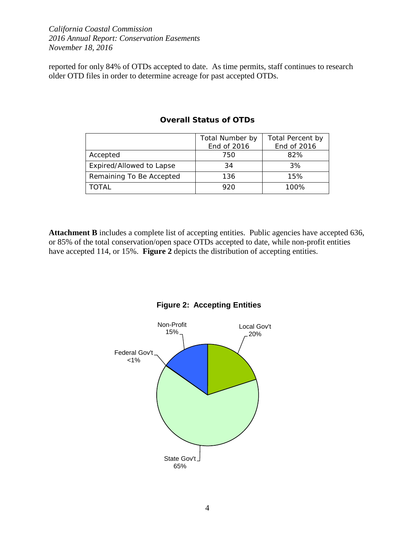reported for only 84% of OTDs accepted to date. As time permits, staff continues to research older OTD files in order to determine acreage for past accepted OTDs.

|                          | Total Number by | Total Percent by |
|--------------------------|-----------------|------------------|
|                          | End of 2016     | End of 2016      |
| Accepted                 | 750             | 82%              |
| Expired/Allowed to Lapse | 34              | 3%               |
| Remaining To Be Accepted | 136             | 15%              |
| TOTAL                    | 920             | 100%             |

#### **Overall Status of OTDs**

Attachment B includes a complete list of accepting entities. Public agencies have accepted 636, or 85% of the total conservation/open space OTDs accepted to date, while non-profit entities have accepted 114, or 15%. **Figure 2** depicts the distribution of accepting entities.



## **Figure 2: Accepting Entities**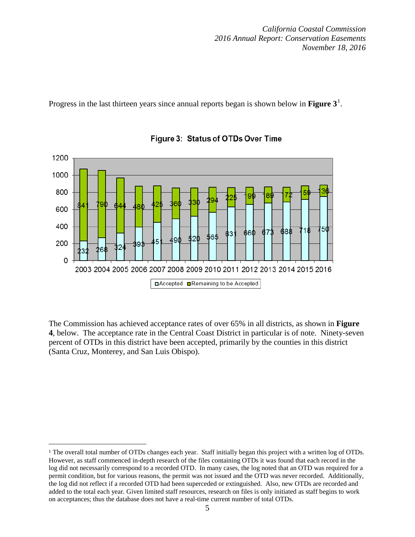Progress in the last thirteen years since annual reports began is shown below in **Figure 3**[1](#page-4-0) .



Figure 3: Status of OTDs Over Time

The Commission has achieved acceptance rates of over 65% in all districts, as shown in **Figure 4**, below. The acceptance rate in the Central Coast District in particular is of note. Ninety-seven percent of OTDs in this district have been accepted, primarily by the counties in this district (Santa Cruz, Monterey, and San Luis Obispo).

 $\overline{a}$ 

<span id="page-4-0"></span><sup>1</sup> The overall total number of OTDs changes each year. Staff initially began this project with a written log of OTDs. However, as staff commenced in-depth research of the files containing OTDs it was found that each record in the log did not necessarily correspond to a recorded OTD. In many cases, the log noted that an OTD was required for a permit condition, but for various reasons, the permit was not issued and the OTD was never recorded. Additionally, the log did not reflect if a recorded OTD had been superceded or extinguished. Also, new OTDs are recorded and added to the total each year. Given limited staff resources, research on files is only initiated as staff begins to work on acceptances; thus the database does not have a real-time current number of total OTDs.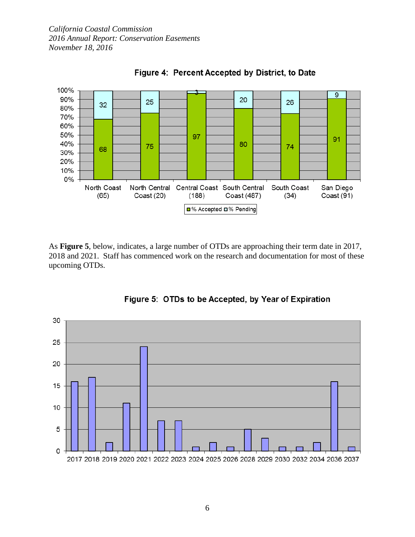

Figure 4: Percent Accepted by District, to Date

As **Figure 5**, below, indicates, a large number of OTDs are approaching their term date in 2017, 2018 and 2021. Staff has commenced work on the research and documentation for most of these upcoming OTDs.



Figure 5: OTDs to be Accepted, by Year of Expiration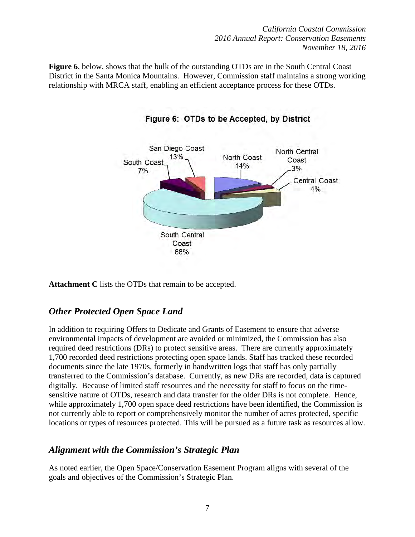**Figure 6**, below, shows that the bulk of the outstanding OTDs are in the South Central Coast District in the Santa Monica Mountains. However, Commission staff maintains a strong working relationship with MRCA staff, enabling an efficient acceptance process for these OTDs.



Figure 6: OTDs to be Accepted, by District

**Attachment C** lists the OTDs that remain to be accepted.

# *Other Protected Open Space Land*

In addition to requiring Offers to Dedicate and Grants of Easement to ensure that adverse environmental impacts of development are avoided or minimized, the Commission has also required deed restrictions (DRs) to protect sensitive areas. There are currently approximately 1,700 recorded deed restrictions protecting open space lands. Staff has tracked these recorded documents since the late 1970s, formerly in handwritten logs that staff has only partially transferred to the Commission's database. Currently, as new DRs are recorded, data is captured digitally. Because of limited staff resources and the necessity for staff to focus on the timesensitive nature of OTDs, research and data transfer for the older DRs is not complete. Hence, while approximately 1,700 open space deed restrictions have been identified, the Commission is not currently able to report or comprehensively monitor the number of acres protected, specific locations or types of resources protected. This will be pursued as a future task as resources allow.

# *Alignment with the Commission's Strategic Plan*

As noted earlier, the Open Space/Conservation Easement Program aligns with several of the goals and objectives of the Commission's Strategic Plan.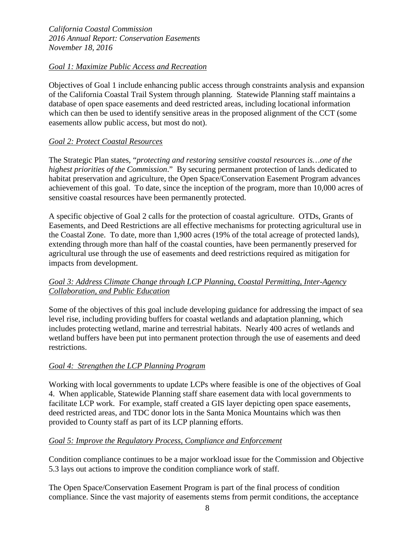## *Goal 1: Maximize Public Access and Recreation*

Objectives of Goal 1 include enhancing public access through constraints analysis and expansion of the California Coastal Trail System through planning. Statewide Planning staff maintains a database of open space easements and deed restricted areas, including locational information which can then be used to identify sensitive areas in the proposed alignment of the CCT (some easements allow public access, but most do not).

## *Goal 2: Protect Coastal Resources*

The Strategic Plan states, "*protecting and restoring sensitive coastal resources is…one of the highest priorities of the Commission*." By securing permanent protection of lands dedicated to habitat preservation and agriculture, the Open Space/Conservation Easement Program advances achievement of this goal. To date, since the inception of the program, more than 10,000 acres of sensitive coastal resources have been permanently protected.

A specific objective of Goal 2 calls for the protection of coastal agriculture. OTDs, Grants of Easements, and Deed Restrictions are all effective mechanisms for protecting agricultural use in the Coastal Zone. To date, more than 1,900 acres (19% of the total acreage of protected lands), extending through more than half of the coastal counties, have been permanently preserved for agricultural use through the use of easements and deed restrictions required as mitigation for impacts from development.

# *Goal 3: Address Climate Change through LCP Planning, Coastal Permitting, Inter-Agency Collaboration, and Public Education*

Some of the objectives of this goal include developing guidance for addressing the impact of sea level rise, including providing buffers for coastal wetlands and adaptation planning, which includes protecting wetland, marine and terrestrial habitats. Nearly 400 acres of wetlands and wetland buffers have been put into permanent protection through the use of easements and deed restrictions.

# *Goal 4: Strengthen the LCP Planning Program*

Working with local governments to update LCPs where feasible is one of the objectives of Goal 4. When applicable, Statewide Planning staff share easement data with local governments to facilitate LCP work. For example, staff created a GIS layer depicting open space easements, deed restricted areas, and TDC donor lots in the Santa Monica Mountains which was then provided to County staff as part of its LCP planning efforts.

#### *Goal 5: Improve the Regulatory Process, Compliance and Enforcement*

Condition compliance continues to be a major workload issue for the Commission and Objective 5.3 lays out actions to improve the condition compliance work of staff.

The Open Space/Conservation Easement Program is part of the final process of condition compliance. Since the vast majority of easements stems from permit conditions, the acceptance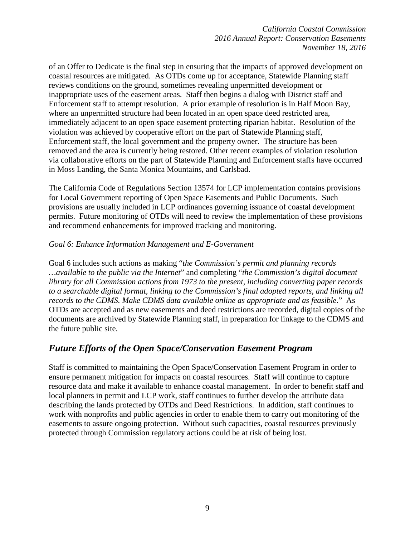of an Offer to Dedicate is the final step in ensuring that the impacts of approved development on coastal resources are mitigated. As OTDs come up for acceptance, Statewide Planning staff reviews conditions on the ground, sometimes revealing unpermitted development or inappropriate uses of the easement areas. Staff then begins a dialog with District staff and Enforcement staff to attempt resolution. A prior example of resolution is in Half Moon Bay, where an unpermitted structure had been located in an open space deed restricted area, immediately adjacent to an open space easement protecting riparian habitat. Resolution of the violation was achieved by cooperative effort on the part of Statewide Planning staff, Enforcement staff, the local government and the property owner. The structure has been removed and the area is currently being restored. Other recent examples of violation resolution via collaborative efforts on the part of Statewide Planning and Enforcement staffs have occurred in Moss Landing, the Santa Monica Mountains, and Carlsbad.

The California Code of Regulations Section 13574 for LCP implementation contains provisions for Local Government reporting of Open Space Easements and Public Documents. Such provisions are usually included in LCP ordinances governing issuance of coastal development permits. Future monitoring of OTDs will need to review the implementation of these provisions and recommend enhancements for improved tracking and monitoring.

#### *Goal 6: Enhance Information Management and E-Government*

Goal 6 includes such actions as making "*the Commission's permit and planning records …available to the public via the Internet*" and completing "*the Commission's digital document library for all Commission actions from 1973 to the present, including converting paper records to a searchable digital format, linking to the Commission's final adopted reports, and linking all records to the CDMS. Make CDMS data available online as appropriate and as feasible*." As OTDs are accepted and as new easements and deed restrictions are recorded, digital copies of the documents are archived by Statewide Planning staff, in preparation for linkage to the CDMS and the future public site.

# *Future Efforts of the Open Space/Conservation Easement Program*

Staff is committed to maintaining the Open Space/Conservation Easement Program in order to ensure permanent mitigation for impacts on coastal resources. Staff will continue to capture resource data and make it available to enhance coastal management. In order to benefit staff and local planners in permit and LCP work, staff continues to further develop the attribute data describing the lands protected by OTDs and Deed Restrictions. In addition, staff continues to work with nonprofits and public agencies in order to enable them to carry out monitoring of the easements to assure ongoing protection. Without such capacities, coastal resources previously protected through Commission regulatory actions could be at risk of being lost.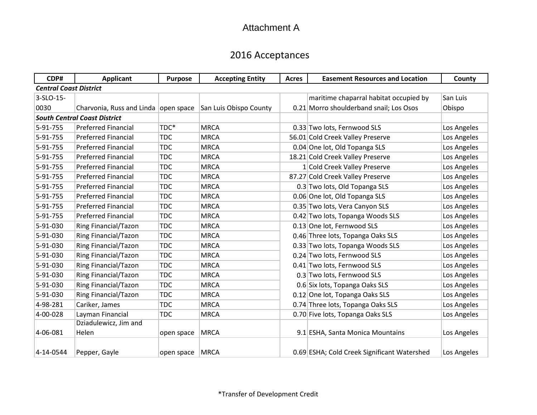# 2016 Acceptances

| CDP#                          | <b>Applicant</b>                       | <b>Purpose</b> | <b>Accepting Entity</b> | <b>Acres</b> | <b>Easement Resources and Location</b>      | County      |
|-------------------------------|----------------------------------------|----------------|-------------------------|--------------|---------------------------------------------|-------------|
| <b>Central Coast District</b> |                                        |                |                         |              |                                             |             |
| 3-SLO-15-                     |                                        |                |                         |              | maritime chaparral habitat occupied by      | San Luis    |
| 0030                          | Charvonia, Russ and Linda   open space |                | San Luis Obispo County  |              | 0.21 Morro shoulderband snail; Los Osos     | Obispo      |
|                               | <b>South Central Coast District</b>    |                |                         |              |                                             |             |
| 5-91-755                      | <b>Preferred Financial</b>             | TDC*           | <b>MRCA</b>             |              | 0.33 Two lots, Fernwood SLS                 | Los Angeles |
| 5-91-755                      | <b>Preferred Financial</b>             | <b>TDC</b>     | <b>MRCA</b>             |              | 56.01 Cold Creek Valley Preserve            | Los Angeles |
| 5-91-755                      | <b>Preferred Financial</b>             | <b>TDC</b>     | <b>MRCA</b>             |              | 0.04 One lot, Old Topanga SLS               | Los Angeles |
| 5-91-755                      | <b>Preferred Financial</b>             | <b>TDC</b>     | <b>MRCA</b>             |              | 18.21 Cold Creek Valley Preserve            | Los Angeles |
| 5-91-755                      | <b>Preferred Financial</b>             | <b>TDC</b>     | <b>MRCA</b>             |              | 1 Cold Creek Valley Preserve                | Los Angeles |
| 5-91-755                      | <b>Preferred Financial</b>             | <b>TDC</b>     | <b>MRCA</b>             |              | 87.27 Cold Creek Valley Preserve            | Los Angeles |
| 5-91-755                      | <b>Preferred Financial</b>             | <b>TDC</b>     | <b>MRCA</b>             |              | 0.3 Two lots, Old Topanga SLS               | Los Angeles |
| 5-91-755                      | <b>Preferred Financial</b>             | <b>TDC</b>     | <b>MRCA</b>             |              | 0.06 One lot, Old Topanga SLS               | Los Angeles |
| 5-91-755                      | <b>Preferred Financial</b>             | <b>TDC</b>     | <b>MRCA</b>             |              | 0.35 Two lots, Vera Canyon SLS              | Los Angeles |
| 5-91-755                      | <b>Preferred Financial</b>             | <b>TDC</b>     | <b>MRCA</b>             |              | 0.42 Two lots, Topanga Woods SLS            | Los Angeles |
| 5-91-030                      | <b>Ring Financial/Tazon</b>            | <b>TDC</b>     | <b>MRCA</b>             |              | 0.13 One lot, Fernwood SLS                  | Los Angeles |
| 5-91-030                      | <b>Ring Financial/Tazon</b>            | <b>TDC</b>     | <b>MRCA</b>             |              | 0.46 Three lots, Topanga Oaks SLS           | Los Angeles |
| 5-91-030                      | Ring Financial/Tazon                   | <b>TDC</b>     | <b>MRCA</b>             |              | 0.33 Two lots, Topanga Woods SLS            | Los Angeles |
| 5-91-030                      | <b>Ring Financial/Tazon</b>            | <b>TDC</b>     | <b>MRCA</b>             |              | 0.24 Two lots, Fernwood SLS                 | Los Angeles |
| 5-91-030                      | <b>Ring Financial/Tazon</b>            | <b>TDC</b>     | <b>MRCA</b>             |              | 0.41 Two lots, Fernwood SLS                 | Los Angeles |
| 5-91-030                      | <b>Ring Financial/Tazon</b>            | <b>TDC</b>     | <b>MRCA</b>             |              | 0.3 Two lots, Fernwood SLS                  | Los Angeles |
| 5-91-030                      | <b>Ring Financial/Tazon</b>            | <b>TDC</b>     | <b>MRCA</b>             |              | 0.6 Six lots, Topanga Oaks SLS              | Los Angeles |
| 5-91-030                      | Ring Financial/Tazon                   | <b>TDC</b>     | <b>MRCA</b>             |              | 0.12 One lot, Topanga Oaks SLS              | Los Angeles |
| 4-98-281                      | Cariker, James                         | <b>TDC</b>     | <b>MRCA</b>             |              | 0.74 Three lots, Topanga Oaks SLS           | Los Angeles |
| 4-00-028                      | Layman Financial                       | <b>TDC</b>     | <b>MRCA</b>             |              | 0.70 Five lots, Topanga Oaks SLS            | Los Angeles |
|                               | Dziadulewicz, Jim and                  |                |                         |              |                                             |             |
| 4-06-081                      | Helen                                  | open space     | <b>MRCA</b>             |              | 9.1 ESHA, Santa Monica Mountains            | Los Angeles |
| 4-14-0544                     | Pepper, Gayle                          | open space     | <b>MRCA</b>             |              | 0.69 ESHA; Cold Creek Significant Watershed | Los Angeles |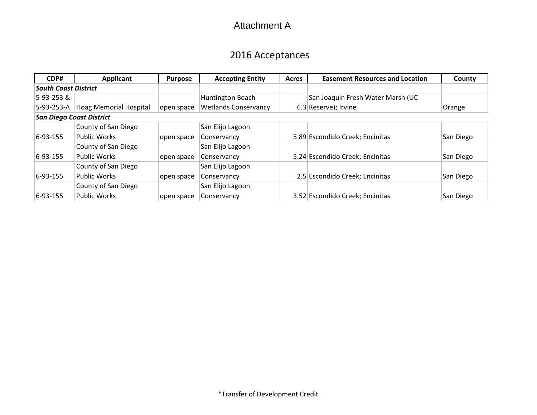# 2016 Acceptances

| CDP#                        | Applicant                       | <b>Purpose</b> | <b>Accepting Entity</b>     | Acres | <b>Easement Resources and Location</b> | County    |
|-----------------------------|---------------------------------|----------------|-----------------------------|-------|----------------------------------------|-----------|
| <b>South Coast District</b> |                                 |                |                             |       |                                        |           |
| 5-93-253&                   |                                 |                | Huntington Beach            |       | San Joaquin Fresh Water Marsh (UC      |           |
| 5-93-253-A                  | <b>Hoag Memorial Hospital</b>   | open space     | <b>Wetlands Conservancy</b> |       | 6.3 Reserve); Irvine                   | Orange    |
|                             | <b>San Diego Coast District</b> |                |                             |       |                                        |           |
|                             | County of San Diego             |                | San Elijo Lagoon            |       |                                        |           |
| $ 6 - 93 - 155 $            | <b>Public Works</b>             | open space     | Conservancy                 |       | 5.89 Escondido Creek; Encinitas        | San Diego |
|                             | County of San Diego             |                | San Elijo Lagoon            |       |                                        |           |
| $6 - 93 - 155$              | <b>Public Works</b>             | open space     | Conservancy                 |       | 5.24 Escondido Creek; Encinitas        | San Diego |
|                             | County of San Diego             |                | San Elijo Lagoon            |       |                                        |           |
| $6-93-155$                  | <b>Public Works</b>             | open space     | Conservancy                 |       | 2.5 Escondido Creek; Encinitas         | San Diego |
|                             | County of San Diego             |                | San Elijo Lagoon            |       |                                        |           |
| $ 6 - 93 - 155 $            | <b>Public Works</b>             | open space     | Conservancy                 |       | 3.52 Escondido Creek; Encinitas        | San Diego |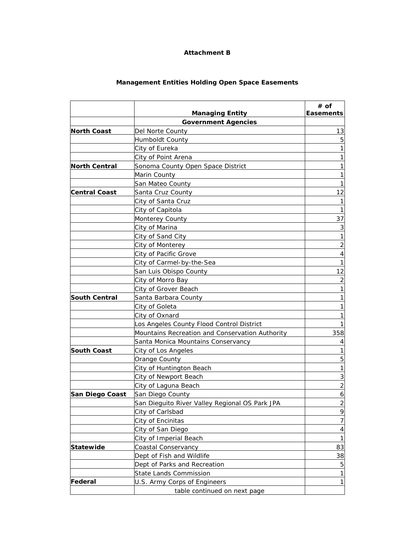## **Management Entities Holding Open Space Easements**

|                      |                                                 | # of             |
|----------------------|-------------------------------------------------|------------------|
|                      | <b>Managing Entity</b>                          | <b>Easements</b> |
|                      | <b>Government Agencies</b>                      |                  |
| <b>North Coast</b>   | Del Norte County                                | 13               |
|                      | Humboldt County                                 | 5                |
|                      | City of Eureka                                  |                  |
|                      | City of Point Arena                             |                  |
| <b>North Central</b> | Sonoma County Open Space District               |                  |
|                      | Marin County                                    |                  |
|                      | San Mateo County                                |                  |
| <b>Central Coast</b> | Santa Cruz County                               | 12               |
|                      | City of Santa Cruz                              |                  |
|                      | City of Capitola                                | 1                |
|                      | Monterey County                                 | 37               |
|                      | City of Marina                                  | 3                |
|                      | City of Sand City                               | 1                |
|                      | City of Monterey                                | 2                |
|                      | City of Pacific Grove                           | 4                |
|                      | City of Carmel-by-the-Sea                       |                  |
|                      | San Luis Obispo County                          | 12               |
|                      | City of Morro Bay                               | 2                |
|                      | City of Grover Beach                            |                  |
| <b>South Central</b> | Santa Barbara County                            |                  |
|                      | City of Goleta                                  |                  |
|                      | City of Oxnard                                  |                  |
|                      | Los Angeles County Flood Control District       |                  |
|                      | Mountains Recreation and Conservation Authority | 358              |
|                      | Santa Monica Mountains Conservancy              | 4                |
| <b>South Coast</b>   | City of Los Angeles                             |                  |
|                      | Orange County                                   | 5                |
|                      | City of Huntington Beach                        |                  |
|                      | City of Newport Beach                           |                  |
|                      | City of Laguna Beach                            | $\overline{2}$   |
| San Diego Coast      | San Diego County                                | 6                |
|                      | San Dieguito River Valley Regional OS Park JPA  | $\overline{c}$   |
|                      | City of Carlsbad                                | 9                |
|                      | City of Encinitas                               | 7                |
|                      | City of San Diego                               | 4                |
|                      | City of Imperial Beach                          | $\mathbf{1}$     |
|                      |                                                 | 83               |
| <b>Statewide</b>     | Coastal Conservancy                             |                  |
|                      | Dept of Fish and Wildlife                       | 38               |
|                      | Dept of Parks and Recreation                    | 5                |
|                      | <b>State Lands Commission</b>                   | 1                |
| Federal              | U.S. Army Corps of Engineers                    | $\mathbf{1}$     |
|                      | table continued on next page                    |                  |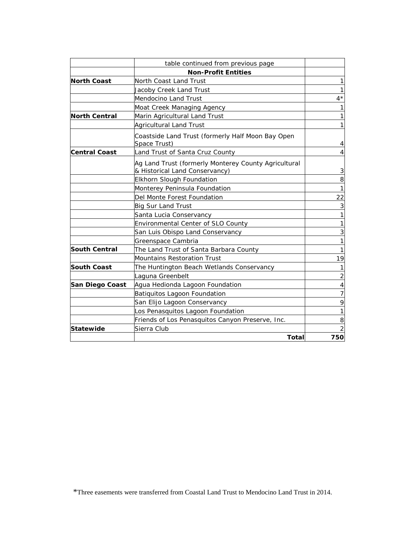|                      | table continued from previous page                                                     |                |
|----------------------|----------------------------------------------------------------------------------------|----------------|
|                      | <b>Non-Profit Entities</b>                                                             |                |
| <b>North Coast</b>   | North Coast Land Trust                                                                 |                |
|                      | Jacoby Creek Land Trust                                                                |                |
|                      | Mendocino Land Trust                                                                   | $4^{\star}$    |
|                      | Moat Creek Managing Agency                                                             |                |
| <b>North Central</b> | Marin Agricultural Land Trust                                                          |                |
|                      | <b>Agricultural Land Trust</b>                                                         |                |
|                      | Coastside Land Trust (formerly Half Moon Bay Open<br>Space Trust)                      | 4              |
| <b>Central Coast</b> | Land Trust of Santa Cruz County                                                        |                |
|                      | Ag Land Trust (formerly Monterey County Agricultural<br>& Historical Land Conservancy) | 3              |
|                      | Elkhorn Slough Foundation                                                              | 8              |
|                      | Monterey Peninsula Foundation                                                          | 1              |
|                      | Del Monte Forest Foundation                                                            | 22             |
|                      | <b>Big Sur Land Trust</b>                                                              | 3              |
|                      | Santa Lucia Conservancy                                                                |                |
|                      | Environmental Center of SLO County                                                     |                |
|                      | San Luis Obispo Land Conservancy                                                       | 3              |
|                      | Greenspace Cambria                                                                     |                |
| <b>South Central</b> | The Land Trust of Santa Barbara County                                                 |                |
|                      | <b>Mountains Restoration Trust</b>                                                     | 19             |
| <b>South Coast</b>   | The Huntington Beach Wetlands Conservancy                                              |                |
|                      | Laguna Greenbelt                                                                       | $\overline{2}$ |
| San Diego Coast      | Agua Hedionda Lagoon Foundation                                                        | 4              |
|                      | Batiquitos Lagoon Foundation                                                           | 7              |
|                      | San Elijo Lagoon Conservancy                                                           | 9              |
|                      | Los Penasquitos Lagoon Foundation                                                      |                |
|                      | Friends of Los Penasquitos Canyon Preserve, Inc.                                       | 8              |
| <b>Statewide</b>     | Sierra Club                                                                            | 2              |
|                      | <b>Total</b>                                                                           | 750            |

\*Three easements were transferred from Coastal Land Trust to Mendocino Land Trust in 2014.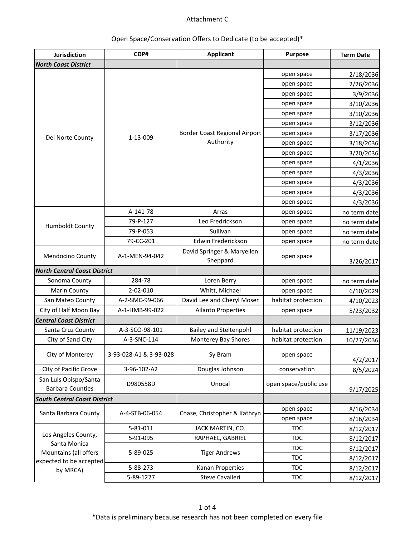# Open Space/Conservation Offers to Dedicate (to be accepted)\*

| Jurisdiction                                     | CDP#                   | <b>Applicant</b>                       | <b>Purpose</b>        | <b>Term Date</b> |
|--------------------------------------------------|------------------------|----------------------------------------|-----------------------|------------------|
| <b>North Coast District</b>                      |                        |                                        |                       |                  |
|                                                  |                        |                                        | open space            | 2/18/2036        |
|                                                  |                        |                                        | open space            | 2/26/2036        |
|                                                  |                        |                                        | open space            | 3/9/2036         |
|                                                  |                        |                                        | open space            | 3/10/2036        |
|                                                  |                        |                                        | open space            | 3/10/2036        |
|                                                  |                        |                                        | open space            | 3/12/2036        |
| Del Norte County                                 | 1-13-009               | Border Coast Regional Airport          | open space            | 3/17/2036        |
|                                                  |                        | Authority                              | open space            | 3/18/2036        |
|                                                  |                        |                                        | open space            | 3/20/2036        |
|                                                  |                        |                                        | open space            | 4/1/2036         |
|                                                  |                        |                                        | open space            | 4/3/2036         |
|                                                  |                        |                                        | open space            | 4/3/2036         |
|                                                  |                        |                                        | open space            | 4/3/2036         |
|                                                  |                        |                                        | open space            | 4/3/2036         |
|                                                  | A-141-78               | Arras                                  | open space            | no term date     |
| Humboldt County                                  | 79-P-127               | Leo Fredrickson                        | open space            | no term date     |
|                                                  | 79-P-053               | Sullivan                               | open space            | no term date     |
|                                                  | 79-CC-201              | Edwin Frederickson                     | open space            | no term date     |
| Mendocino County                                 | A-1-MEN-94-042         | David Springer & Maryellen<br>Sheppard | open space            | 3/26/2017        |
| <b>North Central Coast District</b>              |                        |                                        |                       |                  |
| Sonoma County                                    | 284-78                 | Loren Berry                            | open space            | no term date     |
| Marin County                                     | 2-02-010               | Whitt, Michael                         | open space            | 6/10/2029        |
| San Mateo County                                 | A-2-SMC-99-066         | David Lee and Cheryl Moser             | habitat protection    | 4/10/2023        |
| City of Half Moon Bay                            | A-1-HMB-99-022         | <b>Ailanto Properties</b>              | open space            | 5/23/2032        |
| <b>Central Coast District</b>                    |                        |                                        |                       |                  |
| Santa Cruz County                                | A-3-SCO-98-101         | <b>Bailey and Steltenpohl</b>          | habitat protection    | 11/19/2023       |
| City of Sand City                                | A-3-SNC-114            | Monterey Bay Shores                    | habitat protection    | 10/27/2036       |
| City of Monterey                                 | 3-93-028-A1 & 3-93-028 | Sy Bram                                | open space            | 4/2/2017         |
| City of Pacific Grove                            | 3-96-102-A2            | Douglas Johnson                        | conservation          | 8/5/2024         |
| San Luis Obispo/Santa<br><b>Barbara Counties</b> | D980558D               | Unocal                                 | open space/public use | 9/17/2025        |
| <b>South Central Coast District</b>              |                        |                                        |                       |                  |
| Santa Barbara County                             |                        | Chase, Christopher & Kathryn           | open space            | 8/16/2034        |
|                                                  | A-4-STB-06-054         |                                        | open space            | 8/16/2034        |
|                                                  | 5-81-011               | JACK MARTIN, CO.                       | <b>TDC</b>            | 8/12/2017        |
| Los Angeles County,                              | 5-91-095               | RAPHAEL, GABRIEL                       | <b>TDC</b>            | 8/12/2017        |
| Santa Monica                                     |                        |                                        | <b>TDC</b>            | 8/12/2017        |
| Mountains (all offers<br>expected to be accepted | 5-89-025               | <b>Tiger Andrews</b>                   | <b>TDC</b>            | 8/12/2017        |
| by MRCA)                                         | 5-88-273               | Kanan Properties                       | <b>TDC</b>            | 8/12/2017        |
|                                                  | 5-89-1227              | Steve Cavalleri                        | <b>TDC</b>            | 8/12/2017        |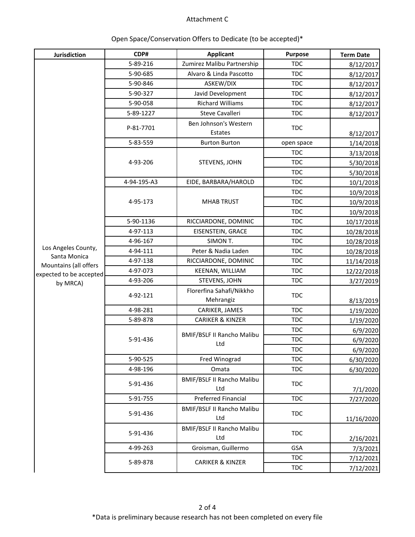| Jurisdiction                          | CDP#        | <b>Applicant</b>                         | Purpose    | <b>Term Date</b> |  |
|---------------------------------------|-------------|------------------------------------------|------------|------------------|--|
|                                       | 5-89-216    | Zumirez Malibu Partnership               | <b>TDC</b> | 8/12/2017        |  |
|                                       | 5-90-685    | Alvaro & Linda Pascotto                  | <b>TDC</b> | 8/12/2017        |  |
|                                       | 5-90-846    | ASKEW/DIX                                | <b>TDC</b> | 8/12/2017        |  |
|                                       | 5-90-327    | Javid Development                        | <b>TDC</b> | 8/12/2017        |  |
|                                       | 5-90-058    | <b>Richard Williams</b>                  | <b>TDC</b> | 8/12/2017        |  |
|                                       | 5-89-1227   | Steve Cavalleri                          | <b>TDC</b> | 8/12/2017        |  |
|                                       | P-81-7701   | Ben Johnson's Western<br>Estates         | <b>TDC</b> | 8/12/2017        |  |
|                                       | 5-83-559    | <b>Burton Burton</b>                     | open space | 1/14/2018        |  |
|                                       |             |                                          | <b>TDC</b> | 3/13/2018        |  |
|                                       | 4-93-206    | STEVENS, JOHN                            | <b>TDC</b> | 5/30/2018        |  |
|                                       |             |                                          | <b>TDC</b> | 5/30/2018        |  |
|                                       | 4-94-195-A3 | EIDE, BARBARA/HAROLD                     | <b>TDC</b> | 10/1/2018        |  |
|                                       |             |                                          | <b>TDC</b> | 10/9/2018        |  |
|                                       | 4-95-173    | <b>MHAB TRUST</b>                        | <b>TDC</b> | 10/9/2018        |  |
|                                       |             |                                          | <b>TDC</b> | 10/9/2018        |  |
|                                       | 5-90-1136   | RICCIARDONE, DOMINIC                     | <b>TDC</b> | 10/17/2018       |  |
|                                       | 4-97-113    | <b>EISENSTEIN, GRACE</b>                 | <b>TDC</b> | 10/28/2018       |  |
|                                       | 4-96-167    | SIMON T.                                 | <b>TDC</b> | 10/28/2018       |  |
| Los Angeles County,                   | 4-94-111    | Peter & Nadia Laden                      | <b>TDC</b> | 10/28/2018       |  |
| Santa Monica<br>Mountains (all offers | 4-97-138    | RICCIARDONE, DOMINIC                     | <b>TDC</b> | 11/14/2018       |  |
| expected to be accepted               | 4-97-073    | KEENAN, WILLIAM                          | <b>TDC</b> | 12/22/2018       |  |
| by MRCA)                              | 4-93-206    | STEVENS, JOHN                            | <b>TDC</b> | 3/27/2019        |  |
|                                       | 4-92-121    | Florerfina Sahafi/Nikkho<br>Mehrangiz    | <b>TDC</b> | 8/13/2019        |  |
|                                       | 4-98-281    | CARIKER, JAMES                           | <b>TDC</b> | 1/19/2020        |  |
|                                       | 5-89-878    | <b>CARIKER &amp; KINZER</b>              | <b>TDC</b> | 1/19/2020        |  |
|                                       |             |                                          | <b>TDC</b> | 6/9/2020         |  |
|                                       | 5-91-436    | <b>BMIF/BSLF II Rancho Malibu</b><br>Ltd | <b>TDC</b> | 6/9/2020         |  |
|                                       |             |                                          | <b>TDC</b> | 6/9/2020         |  |
|                                       | 5-90-525    | Fred Winograd                            | <b>TDC</b> | 6/30/2020        |  |
|                                       | 4-98-196    | Omata                                    | <b>TDC</b> | 6/30/2020        |  |
|                                       | 5-91-436    | <b>BMIF/BSLF II Rancho Malibu</b><br>Ltd | <b>TDC</b> | 7/1/2020         |  |
|                                       | 5-91-755    | Preferred Financial                      | <b>TDC</b> | 7/27/2020        |  |
|                                       | 5-91-436    | <b>BMIF/BSLF II Rancho Malibu</b><br>Ltd | <b>TDC</b> | 11/16/2020       |  |
|                                       | 5-91-436    | <b>BMIF/BSLF II Rancho Malibu</b><br>Ltd | <b>TDC</b> | 2/16/2021        |  |
|                                       | 4-99-263    | Groisman, Guillermo                      | <b>GSA</b> | 7/3/2021         |  |
|                                       |             |                                          | <b>TDC</b> | 7/12/2021        |  |
|                                       | 5-89-878    | <b>CARIKER &amp; KINZER</b>              | <b>TDC</b> | 7/12/2021        |  |

# Open Space/Conservation Offers to Dedicate (to be accepted)\*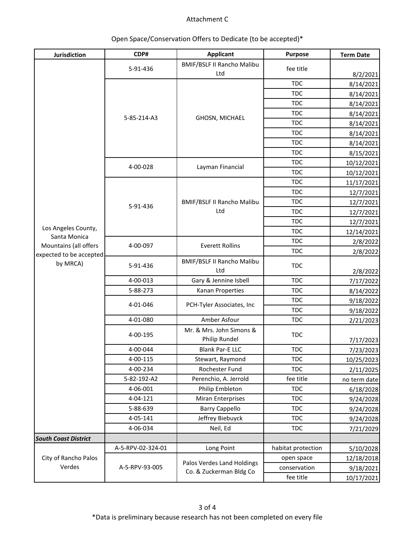| Jurisdiction                                                     | CDP#              | <b>Applicant</b>                  | Purpose            | <b>Term Date</b> |
|------------------------------------------------------------------|-------------------|-----------------------------------|--------------------|------------------|
|                                                                  | 5-91-436          | <b>BMIF/BSLF II Rancho Malibu</b> | fee title          |                  |
|                                                                  |                   | Ltd                               |                    | 8/2/2021         |
|                                                                  |                   |                                   | <b>TDC</b>         | 8/14/2021        |
|                                                                  |                   |                                   | <b>TDC</b>         | 8/14/2021        |
|                                                                  |                   |                                   | <b>TDC</b>         | 8/14/2021        |
|                                                                  | 5-85-214-A3       | GHOSN, MICHAEL                    | <b>TDC</b>         | 8/14/2021        |
|                                                                  |                   |                                   | <b>TDC</b>         | 8/14/2021        |
|                                                                  |                   |                                   | <b>TDC</b>         | 8/14/2021        |
|                                                                  |                   |                                   | <b>TDC</b>         | 8/14/2021        |
|                                                                  |                   |                                   | <b>TDC</b>         | 8/15/2021        |
|                                                                  |                   |                                   | <b>TDC</b>         | 10/12/2021       |
|                                                                  | 4-00-028          | Layman Financial                  | <b>TDC</b>         | 10/12/2021       |
|                                                                  |                   |                                   | <b>TDC</b>         | 11/17/2021       |
|                                                                  |                   |                                   | <b>TDC</b>         | 12/7/2021        |
|                                                                  |                   | <b>BMIF/BSLF II Rancho Malibu</b> | <b>TDC</b>         | 12/7/2021        |
|                                                                  | 5-91-436          | Ltd                               | <b>TDC</b>         | 12/7/2021        |
|                                                                  |                   |                                   | <b>TDC</b>         | 12/7/2021        |
| Los Angeles County,                                              |                   |                                   | <b>TDC</b>         | 12/14/2021       |
| Santa Monica<br>Mountains (all offers<br>expected to be accepted |                   |                                   | <b>TDC</b>         | 2/8/2022         |
|                                                                  | 4-00-097          | <b>Everett Rollins</b>            | <b>TDC</b>         | 2/8/2022         |
| by MRCA)                                                         |                   | <b>BMIF/BSLF II Rancho Malibu</b> |                    |                  |
|                                                                  | 5-91-436          | Ltd                               | <b>TDC</b>         | 2/8/2022         |
|                                                                  | 4-00-013          | Gary & Jennine Isbell             | <b>TDC</b>         | 7/17/2022        |
|                                                                  | 5-88-273          | Kanan Properties                  | <b>TDC</b>         | 8/14/2022        |
|                                                                  | 4-01-046          |                                   | <b>TDC</b>         | 9/18/2022        |
|                                                                  |                   | PCH-Tyler Associates, Inc         | <b>TDC</b>         | 9/18/2022        |
|                                                                  | 4-01-080          | Amber Asfour                      | <b>TDC</b>         | 2/21/2023        |
|                                                                  |                   | Mr. & Mrs. John Simons &          | <b>TDC</b>         |                  |
|                                                                  | 4-00-195          | Philip Rundel                     |                    | 7/17/2023        |
|                                                                  | 4-00-044          | <b>Blank Par-E LLC</b>            | <b>TDC</b>         | 7/23/2023        |
|                                                                  | 4-00-115          | Stewart, Raymond                  | <b>TDC</b>         | 10/25/2023       |
|                                                                  | 4-00-234          | Rochester Fund                    | <b>TDC</b>         | 2/11/2025        |
|                                                                  | 5-82-192-A2       | Perenchio, A. Jerrold             | fee title          | no term date     |
|                                                                  | 4-06-001          | Philip Embleton                   | <b>TDC</b>         | 6/18/2028        |
|                                                                  | 4-04-121          | <b>Miran Enterprises</b>          | <b>TDC</b>         | 9/24/2028        |
|                                                                  | 5-88-639          | <b>Barry Cappello</b>             | <b>TDC</b>         | 9/24/2028        |
|                                                                  | 4-05-141          | Jeffrey Biebuyck                  | <b>TDC</b>         | 9/24/2028        |
|                                                                  | 4-06-034          | Neil, Ed                          | <b>TDC</b>         | 7/21/2029        |
| <b>South Coast District</b>                                      |                   |                                   |                    |                  |
|                                                                  | A-5-RPV-02-324-01 | Long Point                        | habitat protection | 5/10/2028        |
| City of Rancho Palos                                             |                   |                                   | open space         | 12/18/2018       |
| Verdes                                                           | A-5-RPV-93-005    | Palos Verdes Land Holdings        | conservation       | 9/18/2021        |
|                                                                  |                   | Co. & Zuckerman Bldg Co           | fee title          | 10/17/2021       |

# Open Space/Conservation Offers to Dedicate (to be accepted)\*